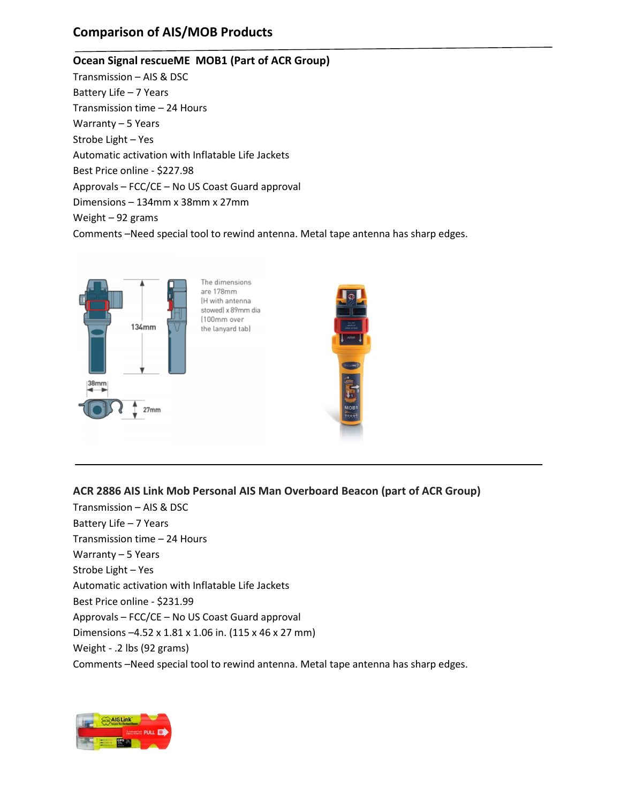## **Comparison of AIS/MOB Products**

#### **Ocean Signal rescueME MOB1 (Part of ACR Group)**

Transmission – AIS & DSC Battery Life – 7 Years Transmission time – 24 Hours Warranty – 5 Years Strobe Light – Yes Automatic activation with Inflatable Life Jackets Best Price online - \$227.98 Approvals – FCC/CE – No US Coast Guard approval Dimensions – 134mm x 38mm x 27mm Weight – 92 grams Comments –Need special tool to rewind antenna. Metal tape antenna has sharp edges.



**ACR 2886 AIS Link Mob Personal AIS Man Overboard Beacon (part of ACR Group)**

Transmission – AIS & DSC Battery Life – 7 Years Transmission time – 24 Hours Warranty – 5 Years Strobe Light – Yes Automatic activation with Inflatable Life Jackets Best Price online - \$231.99 Approvals – FCC/CE – No US Coast Guard approval Dimensions –4.52 x 1.81 x 1.06 in. (115 x 46 x 27 mm) Weight - .2 lbs (92 grams) Comments –Need special tool to rewind antenna. Metal tape antenna has sharp edges.

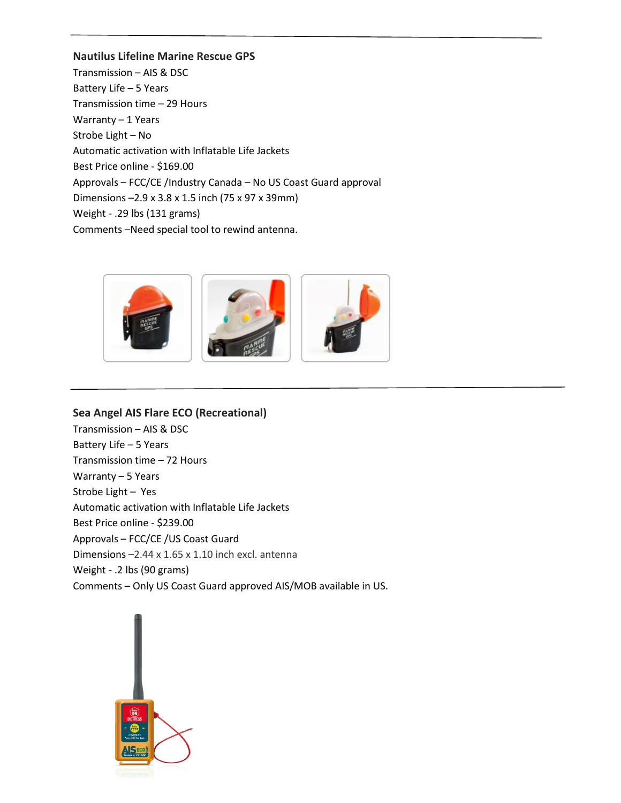#### **Nautilus Lifeline Marine Rescue GPS**

Transmission – AIS & DSC Battery Life – 5 Years Transmission time – 29 Hours Warranty – 1 Years Strobe Light – No Automatic activation with Inflatable Life Jackets Best Price online - \$169.00 Approvals – FCC/CE /Industry Canada – No US Coast Guard approval Dimensions –2.9 x 3.8 x 1.5 inch (75 x 97 x 39mm) Weight - .29 lbs (131 grams) Comments –Need special tool to rewind antenna.



# **Sea Angel AIS Flare ECO (Recreational)**

Transmission – AIS & DSC Battery Life – 5 Years Transmission time – 72 Hours Warranty – 5 Years Strobe Light – Yes Automatic activation with Inflatable Life Jackets Best Price online - \$239.00 Approvals – FCC/CE /US Coast Guard Dimensions –2.44 x 1.65 x 1.10 inch excl. antenna Weight - .2 lbs (90 grams) Comments – Only US Coast Guard approved AIS/MOB available in US.

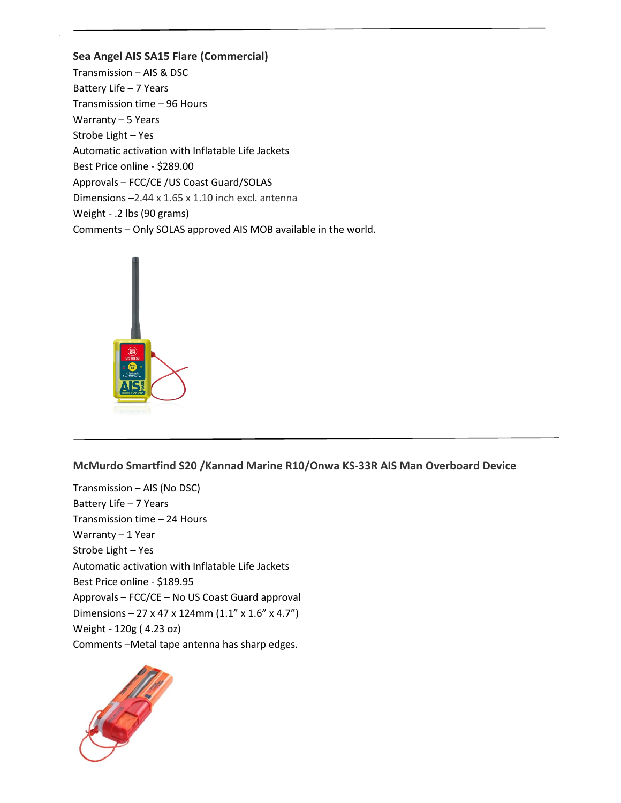**Sea Angel AIS SA15 Flare (Commercial)** Transmission – AIS & DSC Battery Life – 7 Years Transmission time – 96 Hours Warranty – 5 Years Strobe Light – Yes Automatic activation with Inflatable Life Jackets Best Price online - \$289.00 Approvals – FCC/CE /US Coast Guard/SOLAS Dimensions –2.44 x 1.65 x 1.10 inch excl. antenna Weight - .2 lbs (90 grams) Comments – Only SOLAS approved AIS MOB available in the world.



**McMurdo Smartfind S20 /Kannad Marine R10/Onwa KS-33R AIS Man Overboard Device**

Transmission – AIS (No DSC) Battery Life – 7 Years Transmission time – 24 Hours Warranty – 1 Year Strobe Light – Yes Automatic activation with Inflatable Life Jackets Best Price online - \$189.95 Approvals – FCC/CE – No US Coast Guard approval Dimensions – 27 x 47 x 124mm (1.1" x 1.6" x 4.7") Weight - 120g ( 4.23 oz) Comments –Metal tape antenna has sharp edges.